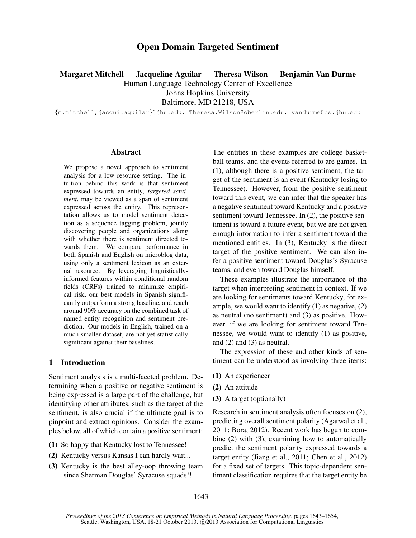# Open Domain Targeted Sentiment

Margaret Mitchell Jacqueline Aguilar Theresa Wilson Benjamin Van Durme

Human Language Technology Center of Excellence

Johns Hopkins University

Baltimore, MD 21218, USA

{m.mitchell,jacqui.aguilar}@jhu.edu, Theresa.Wilson@oberlin.edu, vandurme@cs.jhu.edu

#### Abstract

We propose a novel approach to sentiment analysis for a low resource setting. The intuition behind this work is that sentiment expressed towards an entity, *targeted sentiment*, may be viewed as a span of sentiment expressed across the entity. This representation allows us to model sentiment detection as a sequence tagging problem, jointly discovering people and organizations along with whether there is sentiment directed towards them. We compare performance in both Spanish and English on microblog data, using only a sentiment lexicon as an external resource. By leveraging linguisticallyinformed features within conditional random fields (CRFs) trained to minimize empirical risk, our best models in Spanish significantly outperform a strong baseline, and reach around 90% accuracy on the combined task of named entity recognition and sentiment prediction. Our models in English, trained on a much smaller dataset, are not yet statistically significant against their baselines.

# 1 Introduction

Sentiment analysis is a multi-faceted problem. Determining when a positive or negative sentiment is being expressed is a large part of the challenge, but identifying other attributes, such as the target of the sentiment, is also crucial if the ultimate goal is to pinpoint and extract opinions. Consider the examples below, all of which contain a positive sentiment:

- (1) So happy that Kentucky lost to Tennessee!
- (2) Kentucky versus Kansas I can hardly wait...
- (3) Kentucky is the best alley-oop throwing team since Sherman Douglas' Syracuse squads!!

The entities in these examples are college basketball teams, and the events referred to are games. In (1), although there is a positive sentiment, the target of the sentiment is an event (Kentucky losing to Tennessee). However, from the positive sentiment toward this event, we can infer that the speaker has a negative sentiment toward Kentucky and a positive sentiment toward Tennessee. In (2), the positive sentiment is toward a future event, but we are not given enough information to infer a sentiment toward the mentioned entities. In (3), Kentucky is the direct target of the positive sentiment. We can also infer a positive sentiment toward Douglas's Syracuse teams, and even toward Douglas himself.

These examples illustrate the importance of the target when interpreting sentiment in context. If we are looking for sentiments toward Kentucky, for example, we would want to identify (1) as negative, (2) as neutral (no sentiment) and (3) as positive. However, if we are looking for sentiment toward Tennessee, we would want to identify (1) as positive, and (2) and (3) as neutral.

The expression of these and other kinds of sentiment can be understood as involving three items:

- (1) An experiencer
- (2) An attitude
- (3) A target (optionally)

Research in sentiment analysis often focuses on (2), predicting overall sentiment polarity (Agarwal et al., 2011; Bora, 2012). Recent work has begun to combine (2) with (3), examining how to automatically predict the sentiment polarity expressed towards a target entity (Jiang et al., 2011; Chen et al., 2012) for a fixed set of targets. This topic-dependent sentiment classification requires that the target entity be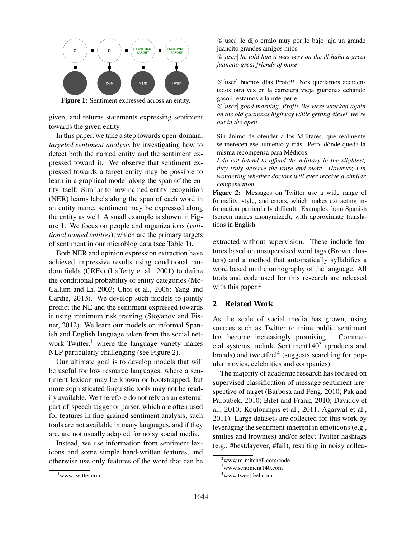

Figure 1: Sentiment expressed across an entity.

given, and returns statements expressing sentiment towards the given entity.

In this paper, we take a step towards open-domain, *targeted sentiment analysis* by investigating how to detect both the named entity and the sentiment expressed toward it. We observe that sentiment expressed towards a target entity may be possible to learn in a graphical model along the span of the entity itself: Similar to how named entity recognition (NER) learns labels along the span of each word in an entity name, sentiment may be expressed along the entity as well. A small example is shown in Figure 1. We focus on people and organizations (*volitional named entities*), which are the primary targets of sentiment in our microblog data (see Table 1).

Both NER and opinion expression extraction have achieved impressive results using conditional random fields (CRFs) (Lafferty et al., 2001) to define the conditional probability of entity categories (Mc-Callum and Li, 2003; Choi et al., 2006; Yang and Cardie, 2013). We develop such models to jointly predict the NE and the sentiment expressed towards it using minimum risk training (Stoyanov and Eisner, 2012). We learn our models on informal Spanish and English language taken from the social network Twitter, $<sup>1</sup>$  where the language variety makes</sup> NLP particularly challenging (see Figure 2).

Our ultimate goal is to develop models that will be useful for low resource languages, where a sentiment lexicon may be known or bootstrapped, but more sophisticated linguistic tools may not be readily available. We therefore do not rely on an external part-of-speech tagger or parser, which are often used for features in fine-grained sentiment analysis; such tools are not available in many languages, and if they are, are not usually adapted for noisy social media.

Instead, we use information from sentiment lexicons and some simple hand-written features, and otherwise use only features of the word that can be

@[user] le dijo erralo muy por lo bajo jaja un grande juancito grandes amigos mios

*@*[*user*] *he told him it was very on the dl haha a great juancito great friends of mine*

@[user] buenos d´ıas Profe!! Nos quedamos accidentados otra vez en la carretera vieja guarenas echando gasoil, estamos a la interperie

*@*[*user*] *good morning, Prof!! We were wrecked again on the old guarenas highway while getting diesel, we're out in the open*

Sin animo de ofender a los Militares, que realmente ´ se merecen ese aumento y más. Pero, dónde queda la misma recompensa para Médicos.

*I do not intend to offend the military in the slightest, they truly deserve the raise and more. However, I'm wondering whether doctors will ever receive a similar compensation.*

Figure 2: Messages on Twitter use a wide range of formality, style, and errors, which makes extracting information particularly difficult. Examples from Spanish (screen names anonymized), with approximate translations in English.

extracted without supervision. These include features based on unsupervised word tags (Brown clusters) and a method that automatically syllabifies a word based on the orthography of the language. All tools and code used for this research are released with this paper. $<sup>2</sup>$ </sup>

## 2 Related Work

As the scale of social media has grown, using sources such as Twitter to mine public sentiment has become increasingly promising. Commercial systems include Sentiment140 $3$  (products and brands) and tweetfeel<sup>4</sup> (suggests searching for popular movies, celebrities and companies).

The majority of academic research has focused on supervised classification of message sentiment irrespective of target (Barbosa and Feng, 2010; Pak and Paroubek, 2010; Bifet and Frank, 2010; Davidov et al., 2010; Kouloumpis et al., 2011; Agarwal et al., 2011). Large datasets are collected for this work by leveraging the sentiment inherent in emoticons (e.g., smilies and frownies) and/or select Twitter hashtags (e.g., #bestdayever, #fail), resulting in noisy collec-

<sup>1</sup>www.twitter.com

<sup>2</sup>www.m-mitchell.com/code

 $3$ www.sentiment140.com

<sup>4</sup>www.tweetfeel.com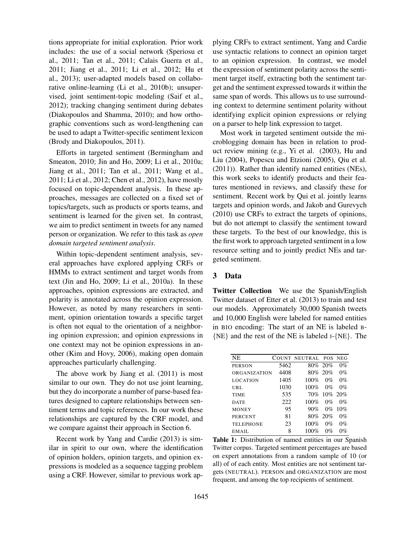tions appropriate for initial exploration. Prior work includes: the use of a social network (Speriosu et al., 2011; Tan et al., 2011; Calais Guerra et al., 2011; Jiang et al., 2011; Li et al., 2012; Hu et al., 2013); user-adapted models based on collaborative online-learning (Li et al., 2010b); unsupervised, joint sentiment-topic modeling (Saif et al., 2012); tracking changing sentiment during debates (Diakopoulos and Shamma, 2010); and how orthographic conventions such as word-lengthening can be used to adapt a Twitter-specific sentiment lexicon (Brody and Diakopoulos, 2011).

Efforts in targeted sentiment (Bermingham and Smeaton, 2010; Jin and Ho, 2009; Li et al., 2010a; Jiang et al., 2011; Tan et al., 2011; Wang et al., 2011; Li et al., 2012; Chen et al., 2012), have mostly focused on topic-dependent analysis. In these approaches, messages are collected on a fixed set of topics/targets, such as products or sports teams, and sentiment is learned for the given set. In contrast, we aim to predict sentiment in tweets for any named person or organization. We refer to this task as *open domain targeted sentiment analysis*.

Within topic-dependent sentiment analysis, several approaches have explored applying CRFs or HMMs to extract sentiment and target words from text (Jin and Ho, 2009; Li et al., 2010a). In these approaches, opinion expressions are extracted, and polarity is annotated across the opinion expression. However, as noted by many researchers in sentiment, opinion orientation towards a specific target is often not equal to the orientation of a neighboring opinion expression; and opinion expressions in one context may not be opinion expressions in another (Kim and Hovy, 2006), making open domain approaches particularly challenging.

The above work by Jiang et al. (2011) is most similar to our own. They do not use joint learning, but they do incorporate a number of parse-based features designed to capture relationships between sentiment terms and topic references. In our work these relationships are captured by the CRF model, and we compare against their approach in Section 6.

Recent work by Yang and Cardie (2013) is similar in spirit to our own, where the identification of opinion holders, opinion targets, and opinion expressions is modeled as a sequence tagging problem using a CRF. However, similar to previous work applying CRFs to extract sentiment, Yang and Cardie use syntactic relations to connect an opinion target to an opinion expression. In contrast, we model the expression of sentiment polarity across the sentiment target itself, extracting both the sentiment target and the sentiment expressed towards it within the same span of words. This allows us to use surrounding context to determine sentiment polarity without identifying explicit opinion expressions or relying on a parser to help link expression to target.

Most work in targeted sentiment outside the microblogging domain has been in relation to product review mining (e.g., Yi et al. (2003), Hu and Liu (2004), Popescu and Etzioni (2005), Qiu et al. (2011)). Rather than identify named entities (NEs), this work seeks to identify products and their features mentioned in reviews, and classify these for sentiment. Recent work by Qui et al. jointly learns targets and opinion words, and Jakob and Gurevych (2010) use CRFs to extract the targets of opinions, but do not attempt to classify the sentiment toward these targets. To the best of our knowledge, this is the first work to approach targeted sentiment in a low resource setting and to jointly predict NEs and targeted sentiment.

### 3 Data

Twitter Collection We use the Spanish/English Twitter dataset of Etter et al. (2013) to train and test our models. Approximately 30,000 Spanish tweets and 10,000 English were labeled for named entities in BIO encoding: The start of an NE is labeled B- {NE} and the rest of the NE is labeled I-{NE}. The

| NE.              |      | COUNT NEUTRAL POS NEG |           |       |
|------------------|------|-----------------------|-----------|-------|
| <b>PERSON</b>    | 5462 |                       | 80% 20%   | $0\%$ |
| ORGANIZATION     | 4408 |                       | 80% 20%   | $0\%$ |
| <b>LOCATION</b>  | 1405 | 100%                  | $0\%$     | $0\%$ |
| URL              | 1030 | $100\%$               | $0\%$     | $0\%$ |
| <b>TIME</b>      | 535  | 70%                   | 10\% 20\% |       |
| <b>DATE</b>      | 222  | 100%                  | $0\%$     | $0\%$ |
| <b>MONEY</b>     | 95   | 90%                   | $0\%$     | 10%   |
| <b>PERCENT</b>   | 81   |                       | 80% 20%   | $0\%$ |
| <b>TELEPHONE</b> | 23   | 100%                  | $0\%$     | $0\%$ |
| EMAIL.           | 8    | 100%                  | $0\%$     | $0\%$ |

Table 1: Distribution of named entities in our Spanish Twitter corpus. Targeted sentiment percentages are based on expert annotations from a random sample of 10 (or all) of of each entity. Most entities are not sentiment targets (NEUTRAL). PERSON and ORGANIZATION are most frequent, and among the top recipients of sentiment.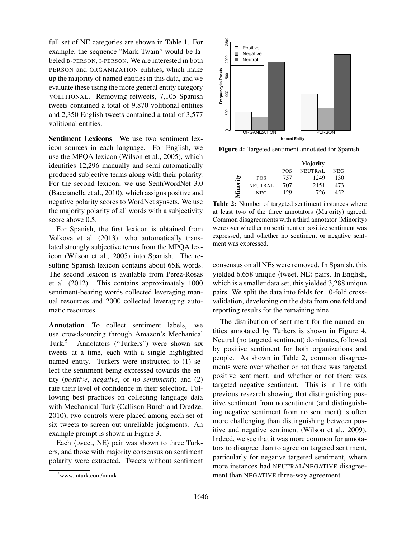full set of NE categories are shown in Table 1. For example, the sequence "Mark Twain" would be labeled B-PERSON, I-PERSON. We are interested in both PERSON and ORGANIZATION entities, which make up the majority of named entities in this data, and we evaluate these using the more general entity category VOLITIONAL. Removing retweets, 7,105 Spanish tweets contained a total of 9,870 volitional entities and 2,350 English tweets contained a total of 3,577 volitional entities.

Sentiment Lexicons We use two sentiment lexicon sources in each language. For English, we use the MPQA lexicon (Wilson et al., 2005), which identifies 12,296 manually and semi-automatically produced subjective terms along with their polarity. For the second lexicon, we use SentiWordNet 3.0 (Baccianella et al., 2010), which assigns positive and negative polarity scores to WordNet synsets. We use the majority polarity of all words with a subjectivity score above 0.5.

For Spanish, the first lexicon is obtained from Volkova et al. (2013), who automatically translated strongly subjective terms from the MPQA lexicon (Wilson et al., 2005) into Spanish. The resulting Spanish lexicon contains about 65K words. The second lexicon is available from Perez-Rosas et al. (2012). This contains approximately 1000 sentiment-bearing words collected leveraging manual resources and 2000 collected leveraging automatic resources.

Annotation To collect sentiment labels, we use crowdsourcing through Amazon's Mechanical Turk.<sup>5</sup> Annotators ("Turkers") were shown six tweets at a time, each with a single highlighted named entity. Turkers were instructed to (1) select the sentiment being expressed towards the entity (*positive*, *negative*, or *no sentiment*); and (2) rate their level of confidence in their selection. Following best practices on collecting language data with Mechanical Turk (Callison-Burch and Dredze, 2010), two controls were placed among each set of six tweets to screen out unreliable judgments. An example prompt is shown in Figure 3.

Each  $\langle$  tweet, NE $\rangle$  pair was shown to three Turkers, and those with majority consensus on sentiment polarity were extracted. Tweets without sentiment



Figure 4: Targeted sentiment annotated for Spanish.

|       |                |            | <b>Majority</b> |      |
|-------|----------------|------------|-----------------|------|
|       |                | <b>POS</b> | <b>NEUTRAL</b>  | NEG  |
| É     | <b>POS</b>     | 757        | 1249            | 130  |
|       | <b>NEUTRAL</b> | 707        | 2151            | 473  |
| Vinor | <b>NEG</b>     | 129        | 726             | 452. |

Table 2: Number of targeted sentiment instances where at least two of the three annotators (Majority) agreed. Common disagreements with a third annotator (Minority) were over whether no sentiment or positive sentiment was expressed, and whether no sentiment or negative sentment was expressed.

consensus on all NEs were removed. In Spanish, this yielded 6,658 unique  $\langle$  tweet, NE $\rangle$  pairs. In English, which is a smaller data set, this yielded 3,288 unique pairs. We split the data into folds for 10-fold crossvalidation, developing on the data from one fold and reporting results for the remaining nine.

The distribution of sentiment for the named entities annotated by Turkers is shown in Figure 4. Neutral (no targeted sentiment) dominates, followed by positive sentiment for both organizations and people. As shown in Table 2, common disagreements were over whether or not there was targeted positive sentiment, and whether or not there was targeted negative sentiment. This is in line with previous research showing that distinguishing positive sentiment from no sentiment (and distinguishing negative sentiment from no sentiment) is often more challenging than distinguishing between positive and negative sentiment (Wilson et al., 2009). Indeed, we see that it was more common for annotators to disagree than to agree on targeted sentiment, particularly for negative targeted sentiment, where more instances had NEUTRAL/NEGATIVE disagreement than NEGATIVE three-way agreement.

<sup>5</sup>www.mturk.com/mturk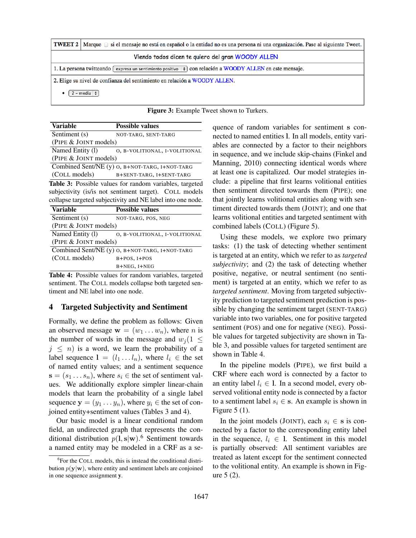|                                                                                                      | <b>TWEET 2</b>   Marque $\Box$ si el mensaje no está en español o la entidad no es una persona ni una organización. Pase al siguiente Tweet. |  |  |  |  |  |  |
|------------------------------------------------------------------------------------------------------|----------------------------------------------------------------------------------------------------------------------------------------------|--|--|--|--|--|--|
| Viendo todos dicen te quiero del gran WOODY ALLEN                                                    |                                                                                                                                              |  |  |  |  |  |  |
|                                                                                                      | 1. La persona twitteando $\epsilon$ expresa un sentimiento positivo $\epsilon$ con relación a WOODY ALLEN en este mensaje.                   |  |  |  |  |  |  |
| 2. Elige su nivel de confianza del sentimiento en relación a WOODY ALLEN.<br>$2 - \text{media} \div$ |                                                                                                                                              |  |  |  |  |  |  |
|                                                                                                      |                                                                                                                                              |  |  |  |  |  |  |

| <b>Figure 3:</b> Example Tweet shown to Turkers. |  |  |  |  |  |
|--------------------------------------------------|--|--|--|--|--|
|--------------------------------------------------|--|--|--|--|--|

| <b>Variable</b>                                 | <b>Possible values</b>                         |
|-------------------------------------------------|------------------------------------------------|
| Sentiment (s)                                   | NOT-TARG, SENT-TARG                            |
| (PIPE & JOINT models)                           |                                                |
| Named Entity (1)                                | O, B-VOLITIONAL, I-VOLITIONAL                  |
| (PIPE & JOINT models)                           |                                                |
|                                                 | Combined Sent/NE (y) 0, B+NOT-TARG, I+NOT-TARG |
| (COLL models)                                   | B+SENT-TARG, I+SENT-TARG                       |
| ----<br>$\cdot$ $\cdot$ $\cdot$<br>$\mathbf{r}$ |                                                |

Table 3: Possible values for random variables, targeted subjectivity (is/is not sentiment target). COLL models collapse targeted subjectivity and NE label into one node.

| <b>Variable</b>       | <b>Possible values</b>                         |
|-----------------------|------------------------------------------------|
| Sentiment (s)         | NOT-TARG, POS, NEG                             |
| (PIPE & JOINT models) |                                                |
| Named Entity (1)      | O, B-VOLITIONAL, I-VOLITIONAL                  |
| (PIPE & JOINT models) |                                                |
|                       | Combined Sent/NE (y) 0, B+NOT-TARG, I+NOT-TARG |
| (COLL models)         | $B+POS$ , $I+POS$                              |
|                       | B+NEG, I+NEG                                   |

Table 4: Possible values for random variables, targeted sentiment. The COLL models collapse both targeted sentiment and NE label into one node.

#### 4 Targeted Subjectivity and Sentiment

Formally, we define the problem as follows: Given an observed message  $\mathbf{w} = (w_1 \dots w_n)$ , where *n* is the number of words in the message and  $w_i (1 \leq$  $j \leq n$ ) is a word, we learn the probability of a label sequence  $l = (l_1 \dots l_n)$ , where  $l_i \in$  the set of named entity values; and a sentiment sequence  $\mathbf{s} = (s_1 \dots s_n)$ , where  $s_i \in \mathbf{the}$  set of sentiment values. We additionally explore simpler linear-chain models that learn the probability of a single label sequence  $y = (y_1 \dots y_n)$ , where  $y_i \in$  the set of conjoined entity+sentiment values (Tables 3 and 4).

Our basic model is a linear conditional random field, an undirected graph that represents the conditional distribution  $p($ l, s|w $)$ .<sup>6</sup> Sentiment towards a named entity may be modeled in a CRF as a sequence of random variables for sentiment s connected to named entities l. In all models, entity variables are connected by a factor to their neighbors in sequence, and we include skip-chains (Finkel and Manning, 2010) connecting identical words where at least one is capitalized. Our model strategies include: a pipeline that first learns volitional entities then sentiment directed towards them (PIPE); one that jointly learns volitional entities along with sentiment directed towards them (JOINT); and one that learns volitional entities and targeted sentiment with combined labels (COLL) (Figure 5).

Using these models, we explore two primary tasks: (1) the task of detecting whether sentiment is targeted at an entity, which we refer to as *targeted subjectivity*; and (2) the task of detecting whether positive, negative, or neutral sentiment (no sentiment) is targeted at an entity, which we refer to as *targeted sentiment*. Moving from targeted subjectivity prediction to targeted sentiment prediction is possible by changing the sentiment target (SENT-TARG) variable into two variables, one for positive targeted sentiment (POS) and one for negative (NEG). Possible values for targeted subjectivity are shown in Table 3, and possible values for targeted sentiment are shown in Table 4.

In the pipeline models (PIPE), we first build a CRF where each word is connected by a factor to an entity label  $l_i \in I$ . In a second model, every observed volitional entity node is connected by a factor to a sentiment label  $s_i \in \mathbf{s}$ . An example is shown in Figure 5 (1).

In the joint models (JOINT), each  $s_i \in$  s is connected by a factor to the corresponding entity label in the sequence,  $l_i \in I$ . Sentiment in this model is partially observed: All sentiment variables are treated as latent except for the sentiment connected to the volitional entity. An example is shown in Figure 5 (2).

<sup>6</sup> For the COLL models, this is instead the conditional distribution  $p(\mathbf{y}|\mathbf{w})$ , where entity and sentiment labels are conjoined in one sequence assignment y.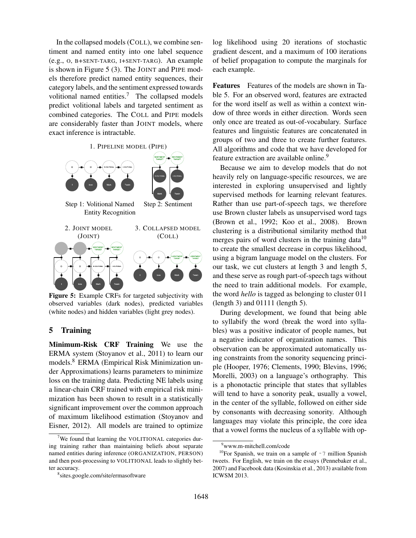In the collapsed models (COLL), we combine sentiment and named entity into one label sequence (e.g., O, B+SENT-TARG, I+SENT-TARG). An example is shown in Figure 5 (3). The JOINT and PIPE models therefore predict named entity sequences, their category labels, and the sentiment expressed towards volitional named entities.<sup>7</sup> The collapsed models predict volitional labels and targeted sentiment as combined categories. The COLL and PIPE models are considerably faster than JOINT models, where exact inference is intractable.



Figure 5: Example CRFs for targeted subjectivity with observed variables (dark nodes), predicted variables (white nodes) and hidden variables (light grey nodes).

## 5 Training

Minimum-Risk CRF Training We use the ERMA system (Stoyanov et al., 2011) to learn our models.<sup>8</sup> ERMA (Empirical Risk Minimization under Approximations) learns parameters to minimize loss on the training data. Predicting NE labels using a linear-chain CRF trained with empirical risk minimization has been shown to result in a statistically significant improvement over the common approach of maximum likelihood estimation (Stoyanov and Eisner, 2012). All models are trained to optimize log likelihood using 20 iterations of stochastic gradient descent, and a maximum of 100 iterations of belief propagation to compute the marginals for each example.

Features Features of the models are shown in Table 5. For an observed word, features are extracted for the word itself as well as within a context window of three words in either direction. Words seen only once are treated as out-of-vocabulary. Surface features and linguistic features are concatenated in groups of two and three to create further features. All algorithms and code that we have developed for feature extraction are available online.<sup>9</sup>

Because we aim to develop models that do not heavily rely on language-specific resources, we are interested in exploring unsupervised and lightly supervised methods for learning relevant features. Rather than use part-of-speech tags, we therefore use Brown cluster labels as unsupervised word tags (Brown et al., 1992; Koo et al., 2008). Brown clustering is a distributional similarity method that merges pairs of word clusters in the training data<sup>10</sup> to create the smallest decrease in corpus likelihood, using a bigram language model on the clusters. For our task, we cut clusters at length 3 and length 5, and these serve as rough part-of-speech tags without the need to train additional models. For example, the word *hello* is tagged as belonging to cluster 011 (length 3) and 01111 (length 5).

During development, we found that being able to syllabify the word (break the word into syllables) was a positive indicator of people names, but a negative indicator of organization names. This observation can be approximated automatically using constraints from the sonority sequencing principle (Hooper, 1976; Clements, 1990; Blevins, 1996; Morelli, 2003) on a language's orthography. This is a phonotactic principle that states that syllables will tend to have a sonority peak, usually a vowel, in the center of the syllable, followed on either side by consonants with decreasing sonority. Although languages may violate this principle, the core idea that a vowel forms the nucleus of a syllable with op-

<sup>&</sup>lt;sup>7</sup>We found that learning the VOLITIONAL categories during training rather than maintaining beliefs about separate named entities during inference (ORGANIZATION, PERSON) and then post-processing to VOLITIONAL leads to slightly better accuracy.

<sup>8</sup> sites.google.com/site/ermasoftware

<sup>9</sup>www.m-mitchell.com/code

<sup>&</sup>lt;sup>10</sup>For Spanish, we train on a sample of  $\sim$  7 million Spanish tweets. For English, we train on the essays (Pennebaker et al., 2007) and Facebook data (Kosinskia et al., 2013) available from ICWSM 2013.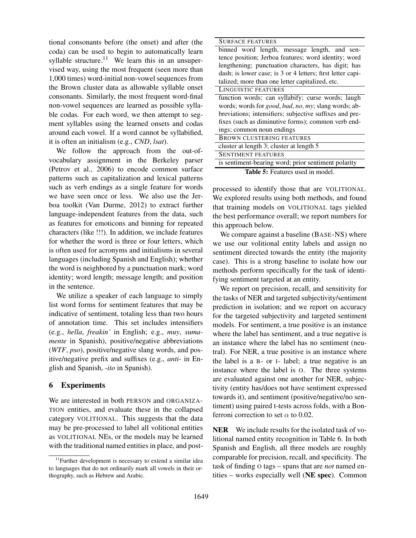tional consonants before (the onset) and after (the coda) can be used to begin to automatically learn syllable structure.<sup>11</sup> We learn this in an unsupervised way, using the most frequent (seen more than 1,000 times) word-initial non-vowel sequences from the Brown cluster data as allowable syllable onset consonants. Similarly, the most frequent word-final non-vowel sequences are learned as possible syllable codas. For each word, we then attempt to segment syllables using the learned onsets and codas around each vowel. If a word cannot be syllabified, it is often an initialism (e.g., *CND*, *lsat*).

We follow the approach from the out-ofvocabulary assignment in the Berkeley parser (Petrov et al., 2006) to encode common surface patterns such as capitalization and lexical patterns such as verb endings as a single feature for words we have seen once or less. We also use the Jerboa toolkit (Van Durme, 2012) to extract further language-independent features from the data, such as features for emoticons and binning for repeated characters (like !!!). In addition, we include features for whether the word is three or four letters, which is often used for acronyms and initialisms in several languages (including Spanish and English); whether the word is neighbored by a punctuation mark; word identity; word length; message length; and position in the sentence.

We utilize a speaker of each language to simply list word forms for sentiment features that may be indicative of sentiment, totaling less than two hours of annotation time. This set includes intensifiers (e.g., *hella*, *freakin'* in English; e.g., *muy*, *sumamente* in Spanish), positive/negative abbreviations (*WTF*, *pso*), positive/negative slang words, and positive/negative prefix and suffixes (e.g., *anti-* in English and Spanish, *-ito* in Spanish).

### 6 Experiments

We are interested in both PERSON and ORGANIZA-TION entities, and evaluate these in the collapsed category VOLITIONAL. This suggests that the data may be pre-processed to label all volitional entities as VOLITIONAL NEs, or the models may be learned with the traditional named entities in place, and post-

| <b>SURFACE FEATURES</b>                                                              |
|--------------------------------------------------------------------------------------|
| binned word length, message length, and sen-                                         |
| tence position; Jerboa features; word identity; word                                 |
| lengthening; punctuation characters, has digit; has                                  |
| dash; is lower case; is 3 or 4 letters; first letter capi-                           |
| talized; more than one letter capitalized, etc.                                      |
| LINGUISTIC FEATURES                                                                  |
| function words; can syllabify; curse words; laugh                                    |
| words; words for <i>good</i> , <i>bad</i> , <i>no</i> , <i>my</i> ; slang words; ab- |
| breviations; intensifiers; subjective suffixes and pre-                              |
| fixes (such as diminutive forms); common verb end-                                   |
| ings; common noun endings                                                            |
| <b>BROWN CLUSTERING FEATURES</b>                                                     |
| cluster at length 3; cluster at length 5                                             |
| <b>SENTIMENT FEATURES</b>                                                            |
| is sentiment-bearing word; prior sentiment polarity                                  |
|                                                                                      |

Table 5: Features used in model.

processed to identify those that are VOLITIONAL. We explored results using both methods, and found that training models on VOLITIONAL tags yielded the best performance overall; we report numbers for this approach below.

We compare against a baseline (BASE-NS) where we use our volitional entity labels and assign no sentiment directed towards the entity (the majority case). This is a strong baseline to isolate how our methods perform specifically for the task of identifying sentiment targeted at an entity.

We report on precision, recall, and sensitivity for the tasks of NER and targeted subjectivity/sentiment prediction in isolation; and we report on accuracy for the targeted subjectivity and targeted sentiment models. For sentiment, a true positive is an instance where the label has sentiment, and a true negative is an instance where the label has no sentiment (neutral). For NER, a true positive is an instance where the label is a B- or I- label; a true negative is an instance where the label is O. The three systems are evaluated against one another for NER, subjectivity (entity has/does not have sentiment expressed towards it), and sentiment (positive/negative/no sentiment) using paired t-tests across folds, with a Bonferroni correction to set  $\alpha$  to 0.02.

NER We include results for the isolated task of volitional named entity recognition in Table 6. In both Spanish and English, all three models are roughly comparable for precision, recall, and specificity. The task of finding O tags – spans that are *not* named entities – works especially well (NE spec). Common

<sup>&</sup>lt;sup>11</sup>Further development is necessary to extend a similar idea to languages that do not ordinarily mark all vowels in their orthography, such as Hebrew and Arabic.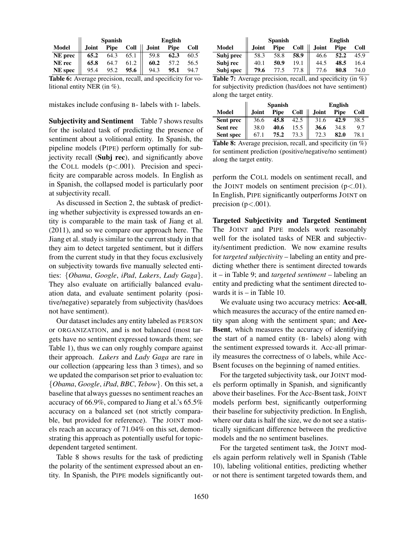|              |       | <b>Spanish</b> |             |              | English     |      |
|--------------|-------|----------------|-------------|--------------|-------------|------|
| <b>Model</b> | Joint | Pipe           | $Coll$ $  $ | <b>Joint</b> | <b>Pipe</b> | Coll |
| NE prec      | 65.2  | 64.3           | 65.1        | 59.8         | 62.3        | 60.5 |
| NE rec       | 65.8  | 64.7           | 61.2        | 60.2         | 57.2        | 56.5 |
| NE spec      | 95.4  | 95.2           | 95.6        | 94.3         | 95.1        | 94.7 |

Table 6: Average precision, recall, and specificity for volitional entity NER (in %).

mistakes include confusing B- labels with I- labels.

Subjectivity and Sentiment Table 7 shows results for the isolated task of predicting the presence of sentiment about a volitional entity. In Spanish, the pipeline models (PIPE) perform optimally for subjectivity recall (Subj rec), and significantly above the COLL models  $(p<.001)$ . Precision and specificity are comparable across models. In English as in Spanish, the collapsed model is particularly poor at subjectivity recall.

As discussed in Section 2, the subtask of predicting whether subjectivity is expressed towards an entity is comparable to the main task of Jiang et al. (2011), and so we compare our approach here. The Jiang et al. study is similar to the current study in that they aim to detect targeted sentiment, but it differs from the current study in that they focus exclusively on subjectivity towards five manually selected entities: {*Obama*, *Google*, *iPad*, *Lakers*, *Lady Gaga*}. They also evaluate on artificially balanced evaluation data, and evaluate sentiment polarity (positive/negative) separately from subjectivity (has/does not have sentiment).

Our dataset includes any entity labeled as PERSON or ORGANIZATION, and is not balanced (most targets have no sentiment expressed towards them; see Table 1), thus we can only roughly compare against their approach. *Lakers* and *Lady Gaga* are rare in our collection (appearing less than 3 times), and so we updated the comparison set prior to evaluation to: {*Obama*, *Google*, *iPad*, *BBC*, *Tebow*}. On this set, a baseline that always guesses no sentiment reaches an accuracy of 66.9%, compared to Jiang et al.'s 65.5% accuracy on a balanced set (not strictly comparable, but provided for reference). The JOINT models reach an accuracy of 71.04% on this set, demonstrating this approach as potentially useful for topicdependent targeted sentiment.

Table 8 shows results for the task of predicting the polarity of the sentiment expressed about an entity. In Spanish, the PIPE models significantly out-

|              | <b>Spanish</b> |      |      | <b>English</b> |      |      |
|--------------|----------------|------|------|----------------|------|------|
| <b>Model</b> | <b>Joint</b>   | Pipe | Coll | <b>Joint</b>   | Pipe | Coll |
| Subj prec    | 58.3           | 58.8 | 58.9 | 46.6           | 52.2 | 45.9 |
| Subj rec     | 40.1           | 50.9 | 19.1 | 44.5           | 48.5 | 16.4 |
| Subj spec    | 79.6           |      |      |                | 80.8 | 74.0 |

Table 7: Average precision, recall, and specificity (in %) for subjectivity prediction (has/does not have sentiment) along the target entity.

|           | <b>Spanish</b> |      |      | <b>English</b> |      |      |  |
|-----------|----------------|------|------|----------------|------|------|--|
| Model     | <b>Joint</b>   | Pipe | Coll | Joint          | Pipe | Coll |  |
| Sent prec | 36.6           | 45.8 | 42.5 | 31.6           | 42.9 | 38.5 |  |
| Sent rec  | 38.0           | 40.6 |      | 36.6           | 34.8 | 9.7  |  |
| Sent spec | 67.            | 75.2 | 73.3 |                | 82.0 | 78.1 |  |

Table 8: Average precision, recall, and specificity (in %) for sentiment prediction (positive/negative/no sentiment) along the target entity.

perform the COLL models on sentiment recall, and the JOINT models on sentiment precision  $(p<.01)$ . In English, PIPE significantly outperforms JOINT on precision ( $p < .001$ ).

Targeted Subjectivity and Targeted Sentiment The JOINT and PIPE models work reasonably well for the isolated tasks of NER and subjectivity/sentiment prediction. We now examine results for *targeted subjectivity* – labeling an entity and predicting whether there is sentiment directed towards it – in Table 9; and *targeted sentiment* – labeling an entity and predicting what the sentiment directed towards it is – in Table 10.

We evaluate using two accuracy metrics: Acc-all, which measures the accuracy of the entire named entity span along with the sentiment span; and Acc-Bsent, which measures the accuracy of identifying the start of a named entity (B- labels) along with the sentiment expressed towards it. Acc-all primarily measures the correctness of O labels, while Acc-Bsent focuses on the beginning of named entities.

For the targeted subjectivity task, our JOINT models perform optimally in Spanish, and significantly above their baselines. For the Acc-Bsent task, JOINT models perform best, significantly outperforming their baseline for subjectivity prediction. In English, where our data is half the size, we do not see a statistically significant difference between the predictive models and the no sentiment baselines.

For the targeted sentiment task, the JOINT models again perform relatively well in Spanish (Table 10), labeling volitional entities, predicting whether or not there is sentiment targeted towards them, and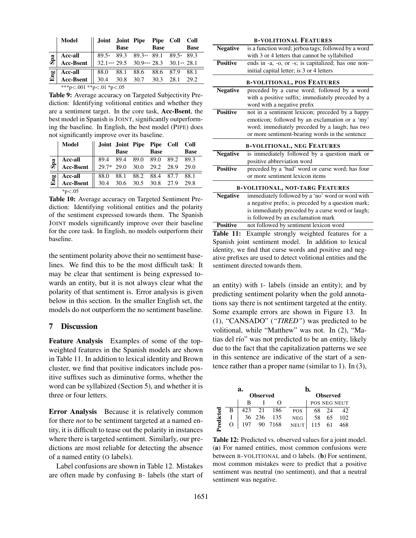|     | Model                    |                     | <b>Base</b> | Joint Joint Pipe Pipe Coll            | <b>Base</b> |      | Coll<br><b>Base</b> |  |  |
|-----|--------------------------|---------------------|-------------|---------------------------------------|-------------|------|---------------------|--|--|
|     | <b>Acc-all</b>           |                     |             | 89.5* 89.3 89.3** 89.1 89.5* 89.3     |             |      |                     |  |  |
| Spa | Acc-Bsent                |                     |             | 32.1*** 29.5 30.9*** 28.3 30.1** 28.1 |             |      |                     |  |  |
|     | <b>Acc-all</b>           |                     |             | 88.0 88.1 88.6 88.6 87.9              |             |      | 88.1                |  |  |
| Eng | <b>Acc-Bsent</b>         | 30.4 30.8 30.7 30.3 |             |                                       |             | 28.1 | 29.2                |  |  |
|     | ***p<.001 **p<.01 *p<.05 |                     |             |                                       |             |      |                     |  |  |

Table 9: Average accuracy on Targeted Subjectivity Prediction: Identifying volitional entities and whether they are a sentiment target. In the core task, Acc-Bsent, the best model in Spanish is JOINT, significantly outperforming the baseline. In English, the best model (PIPE) does not significantly improve over its baseline.

|     | Model            |                                                                                                                                        |             | Joint Joint Pipe Pipe Coll Coll |             |
|-----|------------------|----------------------------------------------------------------------------------------------------------------------------------------|-------------|---------------------------------|-------------|
|     |                  |                                                                                                                                        | <b>Base</b> | <b>Base</b>                     | <b>Base</b> |
|     | Acc-all          |                                                                                                                                        |             |                                 |             |
| Spa | <b>Acc-Bsent</b> | $\begin{array}{ r rrrrrrrrrrrrrrrr} 89.4 & 89.4 & 89.0 & 89.0 & 89.2 & 89.3 \\ 29.7 & 29.0 & 30.0 & 29.2 & 28.9 & 29.0 \\ \end{array}$ |             |                                 |             |
| Eng | Acc-all          |                                                                                                                                        |             | 88.0 88.1 88.2 88.4 87.7        | 88.1        |
|     | Acc-Bsent        |                                                                                                                                        |             | 30.4 30.6 30.5 30.8 27.9        | 29.8        |
|     | $*_{p<.05}$      |                                                                                                                                        |             |                                 |             |

Table 10: Average accuracy on Targeted Sentiment Prediction: Identifying volitional entities and the polarity of the sentiment expressed towards them. The Spanish JOINT models significantly improve over their baseline for the core task. In English, no models outperform their baseline.

the sentiment polarity above their no sentiment baselines. We find this to be the most difficult task: It may be clear that sentiment is being expressed towards an entity, but it is not always clear what the polarity of that sentiment is. Error analysis is given below in this section. In the smaller English set, the models do not outperform the no sentiment baseline.

### 7 Discussion

Feature Analysis Examples of some of the topweighted features in the Spanish models are shown in Table 11. In addition to lexical identity and Brown cluster, we find that positive indicators include positive suffixes such as diminutive forms, whether the word can be syllabized (Section 5), and whether it is three or four letters.

Error Analysis Because it is relatively common for there *not* to be sentiment targeted at a named entity, it is difficult to tease out the polarity in instances where there is targeted sentiment. Similarly, our predictions are most reliable for detecting the absence of a named entity (O labels).

Label confusions are shown in Table 12. Mistakes are often made by confusing B- labels (the start of

| <b>B-VOLITIONAL FEATURES</b> |                                                                                                                                                                                                        |  |  |  |  |  |  |  |  |  |
|------------------------------|--------------------------------------------------------------------------------------------------------------------------------------------------------------------------------------------------------|--|--|--|--|--|--|--|--|--|
| <b>Negative</b>              | is a function word; jerboa tags; followed by a word<br>with 3 or 4 letters that cannot be syllabified                                                                                                  |  |  |  |  |  |  |  |  |  |
| <b>Positive</b>              | ends in -a, -o, or -s; is capitalized; has one non-<br>initial capital letter; is 3 or 4 letters                                                                                                       |  |  |  |  |  |  |  |  |  |
|                              | <b>B-VOLITIONAL, POS FEATURES</b>                                                                                                                                                                      |  |  |  |  |  |  |  |  |  |
| <b>Negative</b>              | preceded by a curse word; followed by a word<br>with a positive suffix; immediately preceded by a<br>word with a negative prefix                                                                       |  |  |  |  |  |  |  |  |  |
| <b>Positive</b>              | not in a sentiment lexicon; preceded by a happy<br>emoticon; followed by an exclamation or a 'my'<br>word; immediately preceded by a laugh; has two<br>or more sentiment-bearing words in the sentence |  |  |  |  |  |  |  |  |  |
|                              | <b>B-VOLITIONAL, NEG FEATURES</b>                                                                                                                                                                      |  |  |  |  |  |  |  |  |  |
| <b>Negative</b>              | is immediately followed by a question mark or<br>positive abbreviation word                                                                                                                            |  |  |  |  |  |  |  |  |  |
| <b>Positive</b>              | preceded by a 'bad' word or curse word; has four<br>or more sentiment lexicon items                                                                                                                    |  |  |  |  |  |  |  |  |  |
|                              | <b>B-VOLITIONAL, NOT-TARG FEATURES</b>                                                                                                                                                                 |  |  |  |  |  |  |  |  |  |
| <b>Negative</b>              | immediately followed by a 'no' word or word with<br>a negative prefix; is preceded by a question mark;<br>is immediately preceded by a curse word or laugh;<br>is followed by an exclamation mark      |  |  |  |  |  |  |  |  |  |
| <b>Positive</b>              | not followed by sentiment lexicon word                                                                                                                                                                 |  |  |  |  |  |  |  |  |  |

Table 11: Example strongly weighted features for a Spanish joint sentiment model. In addition to lexical identity, we find that curse words and positive and negative prefixes are used to detect volitional entities and the sentiment directed towards them.

an entity) with I- labels (inside an entity); and by predicting sentiment polarity when the gold annotations say there is not sentiment targeted at the entity. Some example errors are shown in Figure 13. In (1), "CANSADO" (*"TIRED"*) was predicted to be volitional, while "Matthew" was not. In (2), "Matias del río" was not predicted to be an entity, likely due to the fact that the capitalization patterns we see in this sentence are indicative of the start of a sentence rather than a proper name (similar to 1). In (3),

|         |          | a.  |                 |         | Ŋ.              |        |    |              |  |  |  |  |  |
|---------|----------|-----|-----------------|---------|-----------------|--------|----|--------------|--|--|--|--|--|
|         |          |     | <b>Observed</b> |         | <b>Observed</b> |        |    |              |  |  |  |  |  |
|         |          | R   |                 |         |                 |        |    | POS NEG NEUT |  |  |  |  |  |
|         | в        | 423 | 21              | 186     | <b>POS</b>      | 68     | 24 | 42.          |  |  |  |  |  |
| ءِ<br>= |          |     | 36 236          | 135     | <b>NEG</b>      | 58     | 65 | 102          |  |  |  |  |  |
|         | $\Omega$ | 197 |                 | 90 7168 | <b>NEUT</b>     | 115 61 |    | 468          |  |  |  |  |  |

Table 12: Predicted vs. observed values for a joint model. (a) For named entities, most common confusions were between B-VOLITIONAL and O labels. (b) For sentiment, most common mistakes were to predict that a positive sentiment was neutral (no sentiment), and that a neutral sentiment was negative.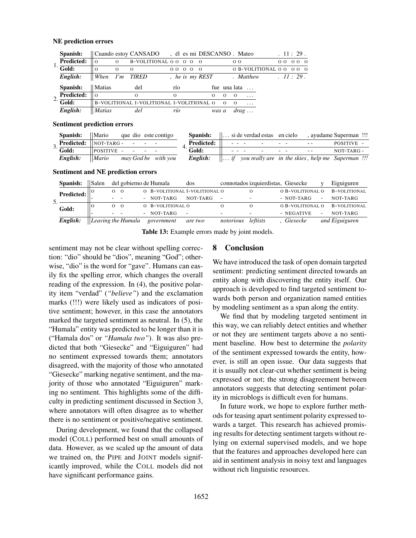#### NE prediction errors

|    | Spanish:           |                |          | Cuando estoy CANSADO, él es mi DESCANSO. Mateo |          |      |  |               |          |          |                |                          |          | .11:29. |     |  |
|----|--------------------|----------------|----------|------------------------------------------------|----------|------|--|---------------|----------|----------|----------------|--------------------------|----------|---------|-----|--|
|    | <b>Predicted:</b>  | $\overline{0}$ | $\Omega$ | B-VOLITIONAL 0 0 0 0 0                         |          |      |  |               |          |          | 0 <sub>0</sub> |                          | $\Omega$ |         | 000 |  |
|    | $\overline{Gold:}$ | $\Omega$       | $\Omega$ | $\Omega$                                       |          | 0000 |  | $\Omega$      |          |          |                | 0 B-VOLITIONAL 0 0 0 0 0 |          |         |     |  |
|    | English:           | $ $ When       |          | I'm TIRED                                      |          |      |  | he is my REST |          |          |                | . Matthew                |          | 11:29.  |     |  |
|    | Spanish:           | Matias         |          | del                                            |          | río  |  |               |          |          | fue una lata   |                          |          |         |     |  |
| 2. | <b>Predicted:</b>  | $\overline{0}$ |          | $\Omega$                                       | $\Omega$ |      |  |               | $\Omega$ | $\Omega$ | $\Omega$       | $\cdots$                 |          |         |     |  |
|    | $\overline{Gold:}$ |                |          | B-VOLITIONAL I-VOLITIONAL I-VOLITIONAL O       |          |      |  |               |          | $\Omega$ | $\Omega$       | $\ddots$                 |          |         |     |  |
|    | English:           | <b>Matias</b>  |          | del                                            |          | río  |  |               | was a    |          |                | drag                     |          |         |     |  |

#### Sentiment prediction errors

| Spanish:                                       | $\mathbf{M}$ ario que dio este contigo |  |  |                   |  |                                                  |  |                               | <b>Spanish:</b> $\ \dots\ $ is deverdad estas en cielo, ayudame Superman !!!   |
|------------------------------------------------|----------------------------------------|--|--|-------------------|--|--------------------------------------------------|--|-------------------------------|--------------------------------------------------------------------------------|
| <b>Predicted:</b> $\parallel$ NOT-TARG - - - - |                                        |  |  | <b>Predicted:</b> |  | $\sim$ $\sim$ $\sim$ $\sim$ $\sim$ $\sim$ $\sim$ |  | and the state of the state of | POSITIVE -                                                                     |
| $\overline{\cdot}$ Gold:                       | $\Box$ POSITIVE $\Box$                 |  |  | Gold:             |  |                                                  |  |                               | $NOT-TARG -$                                                                   |
| English:                                       | $\parallel$ Mario may God be with you  |  |  |                   |  |                                                  |  |                               | <b>English:</b> $\ \ldots\ $ you really are in the skies, help me Superman !!! |

#### Sentiment and NE prediction errors

|  | Spanish:   | Salen |               |                            | del gobierno de Humala        | dos                      |           | connotados izquierdistas, Giesecke |                  |                          | Eiguiguren          |
|--|------------|-------|---------------|----------------------------|-------------------------------|--------------------------|-----------|------------------------------------|------------------|--------------------------|---------------------|
|  | Predicted: |       | $\Omega$      | $\overline{O}$             | O B-VOLITIONAL I-VOLITIONAL O |                          |           |                                    | O B-VOLITIONAL O |                          | B-VOLITIONAL        |
|  |            |       | $\sim$ $\sim$ |                            | - NOT-TARG                    | NOT-TARG                 | -         |                                    | - NOT-TARG       | $\sim$                   | NOT-TARG            |
|  | Gold:      |       | $\Omega$      | $\overline{O}$             | O B-VOLITIONAL O              |                          | Ω         |                                    | O B-VOLITIONAL O |                          | <b>B-VOLITIONAL</b> |
|  |            |       |               |                            | - NOT-TARG                    | $\overline{\phantom{a}}$ |           |                                    | - NEGATIVE       | $\overline{\phantom{0}}$ | NOT-TARG            |
|  | English:   |       |               | $\vert$ Leaving the Humala | government                    | are two                  | notorious | leftists                           | Giesecke         |                          | and Eiguiguren      |

Table 13: Example errors made by joint models.

sentiment may not be clear without spelling correction: "dio" should be "dios", meaning "God"; otherwise, "dio" is the word for "gave". Humans can easily fix the spelling error, which changes the overall reading of the expression. In (4), the positive polarity item "verdad" (*"believe"*) and the exclamation marks (!!!) were likely used as indicators of positive sentiment; however, in this case the annotators marked the targeted sentiment as neutral. In (5), the "Humala" entity was predicted to be longer than it is ("Hamala dos" or *"Hamala two"*). It was also predicted that both "Giesecke" and "Eiguiguren" had no sentiment expressed towards them; annotators disagreed, with the majority of those who annotated "Giesecke" marking negative sentiment, and the majority of those who annotated "Eiguiguren" marking no sentiment. This highlights some of the difficulty in predicting sentiment discussed in Section 3, where annotators will often disagree as to whether there is no sentiment or positive/negative sentiment.

During development, we found that the collapsed model (COLL) performed best on small amounts of data. However, as we scaled up the amount of data we trained on, the PIPE and JOINT models significantly improved, while the COLL models did not have significant performance gains.

### 8 Conclusion

We have introduced the task of open domain targeted sentiment: predicting sentiment directed towards an entity along with discovering the entity itself. Our approach is developed to find targeted sentiment towards both person and organization named entities by modeling sentiment as a span along the entity.

We find that by modeling targeted sentiment in this way, we can reliably detect entities and whether or not they are sentiment targets above a no sentiment baseline. How best to determine the *polarity* of the sentiment expressed towards the entity, however, is still an open issue. Our data suggests that it is usually not clear-cut whether sentiment is being expressed or not; the strong disagreement between annotators suggests that detecting sentiment polarity in microblogs is difficult even for humans.

In future work, we hope to explore further methods for teasing apart sentiment polarity expressed towards a target. This research has achieved promising results for detecting sentiment targets without relying on external supervised models, and we hope that the features and approaches developed here can aid in sentiment analysis in noisy text and languages without rich linguistic resources.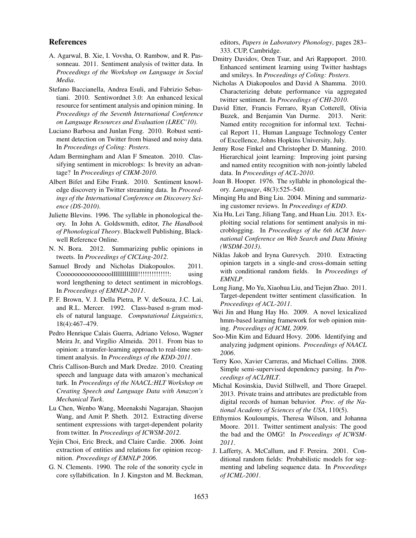#### References

- A. Agarwal, B. Xie, I. Vovsha, O. Rambow, and R. Passonneau. 2011. Sentiment analysis of twitter data. In *Proceedings of the Workshop on Language in Social Media*.
- Stefano Baccianella, Andrea Esuli, and Fabrizio Sebastiani. 2010. Sentiwordnet 3.0: An enhanced lexical resource for sentiment analysis and opinion mining. In *Proceedings of the Seventh International Conference on Language Resources and Evaluation (LREC'10)*.
- Luciano Barbosa and Junlan Feng. 2010. Robust sentiment detection on Twitter from biased and noisy data. In *Proceedings of Coling: Posters*.
- Adam Bermingham and Alan F Smeaton. 2010. Classifying sentiment in microblogs: Is brevity an advantage? In *Proceedings of CIKM-2010*.
- Albert Bifet and Eibe Frank. 2010. Sentiment knowledge discovery in Twitter streaming data. In *Proceedings of the International Conference on Discovery Science (DS-2010)*.
- Juliette Blevins. 1996. The syllable in phonological theory. In John A. Goldswmith, editor, *The Handbook of Phonological Theory*. Blackwell Publishing, Blackwell Reference Online.
- N. N. Bora. 2012. Summarizing public opinions in tweets. In *Proceedings of CICLing-2012*.
- Samuel Brody and Nicholas Diakopoulos. 2011. Cooooooooooooooollllllllllllll!!!!!!!!!!!!!!: using word lengthening to detect sentiment in microblogs. In *Proceedings of EMNLP-2011*.
- P. F. Brown, V. J. Della Pietra, P. V. deSouza, J.C. Lai, and R.L. Mercer. 1992. Class-based n-gram models of natural language. *Computational Linguistics*, 18(4):467–479.
- Pedro Henrique Calais Guerra, Adriano Veloso, Wagner Meira Jr, and Virgílio Almeida. 2011. From bias to opinion: a transfer-learning approach to real-time sentiment analysis. In *Proceedings of the KDD-2011*.
- Chris Callison-Burch and Mark Dredze. 2010. Creating speech and language data with amazon's mechanical turk. In *Proceedings of the NAACL:HLT Workshop on Creating Speech and Language Data with Amazon's Mechanical Turk*.
- Lu Chen, Wenbo Wang, Meenakshi Nagarajan, Shaojun Wang, and Amit P. Sheth. 2012. Extracting diverse sentiment expressions with target-dependent polarity from twitter. In *Proceedings of ICWSM-2012*.
- Yejin Choi, Eric Breck, and Claire Cardie. 2006. Joint extraction of entities and relations for opinion recognition. *Proceedings of EMNLP 2006*.
- G. N. Clements. 1990. The role of the sonority cycle in core syllabification. In J. Kingston and M. Beckman,

editors, *Papers in Laboratory Phonology*, pages 283– 333. CUP, Cambridge.

- Dmitry Davidov, Oren Tsur, and Ari Rappoport. 2010. Enhanced sentiment learning using Twitter hashtags and smileys. In *Proceedings of Coling: Posters*.
- Nicholas A Diakopoulos and David A Shamma. 2010. Characterizing debate performance via aggregated twitter sentiment. In *Proceedings of CHI-2010*.
- David Etter, Francis Ferraro, Ryan Cotterell, Olivia Buzek, and Benjamin Van Durme. 2013. Nerit: Named entity recognition for informal text. Technical Report 11, Human Language Technology Center of Excellence, Johns Hopkins University, July.
- Jenny Rose Finkel and Christopher D. Manning. 2010. Hierarchical joint learning: Improving joint parsing and named entity recognition with non-jointly labeled data. In *Proceedings of ACL-2010*.
- Joan B. Hooper. 1976. The syllable in phonological theory. *Language*, 48(3):525–540.
- Minqing Hu and Bing Liu. 2004. Mining and summarizing customer reviews. In *Proceedings of KDD*.
- Xia Hu, Lei Tang, Jiliang Tang, and Huan Liu. 2013. Exploiting social relations for sentiment analysis in microblogging. In *Proceedings of the 6th ACM International Conference on Web Search and Data Mining (WSDM-2013)*.
- Niklas Jakob and Iryna Gurevych. 2010. Extracting opinion targets in a single-and cross-domain setting with conditional random fields. In *Proceedings of EMNLP*.
- Long Jiang, Mo Yu, Xiaohua Liu, and Tiejun Zhao. 2011. Target-dependent twitter sentiment classification. In *Proceedings of ACL-2011*.
- Wei Jin and Hung Hay Ho. 2009. A novel lexicalized hmm-based learning framework for web opinion mining. *Proceedings of ICML 2009*.
- Soo-Min Kim and Eduard Hovy. 2006. Identifying and analyzing judgment opinions. *Proceedings of NAACL 2006*.
- Terry Koo, Xavier Carreras, and Michael Collins. 2008. Simple semi-supervised dependency parsing. In *Proceedings of ACL/HLT*.
- Michal Kosinskia, David Stillwell, and Thore Graepel. 2013. Private trains and attributes are predictable from digital records of human behavior. *Proc. of the National Academy of Sciences of the USA*, 110(5).
- Efthymios Kouloumpis, Theresa Wilson, and Johanna Moore. 2011. Twitter sentiment analysis: The good the bad and the OMG! In *Proceedings of ICWSM-2011*.
- J. Lafferty, A. McCallum, and F. Pereira. 2001. Conditional random fields: Probabilistic models for segmenting and labeling sequence data. In *Proceedings of ICML-2001*.